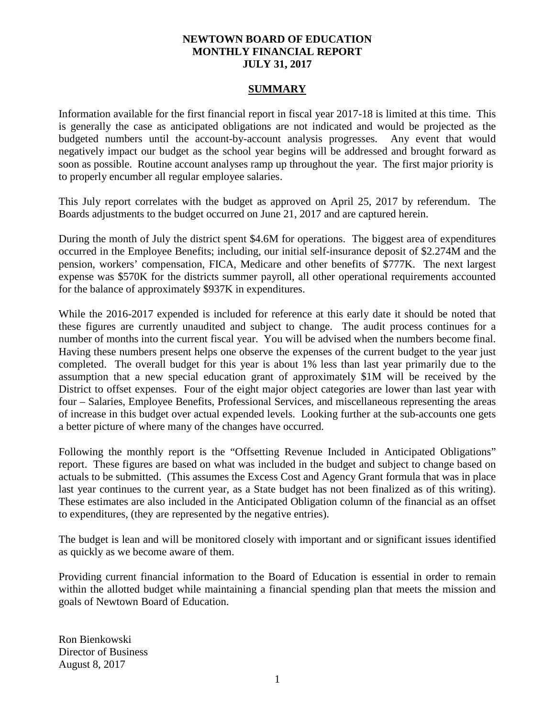## **NEWTOWN BOARD OF EDUCATION MONTHLY FINANCIAL REPORT JULY 31, 2017**

#### **SUMMARY**

Information available for the first financial report in fiscal year 2017-18 is limited at this time. This is generally the case as anticipated obligations are not indicated and would be projected as the budgeted numbers until the account-by-account analysis progresses. Any event that would negatively impact our budget as the school year begins will be addressed and brought forward as soon as possible. Routine account analyses ramp up throughout the year. The first major priority is to properly encumber all regular employee salaries.

This July report correlates with the budget as approved on April 25, 2017 by referendum. The Boards adjustments to the budget occurred on June 21, 2017 and are captured herein.

During the month of July the district spent \$4.6M for operations. The biggest area of expenditures occurred in the Employee Benefits; including, our initial self-insurance deposit of \$2.274M and the pension, workers' compensation, FICA, Medicare and other benefits of \$777K. The next largest expense was \$570K for the districts summer payroll, all other operational requirements accounted for the balance of approximately \$937K in expenditures.

While the 2016-2017 expended is included for reference at this early date it should be noted that these figures are currently unaudited and subject to change. The audit process continues for a number of months into the current fiscal year. You will be advised when the numbers become final. Having these numbers present helps one observe the expenses of the current budget to the year just completed. The overall budget for this year is about 1% less than last year primarily due to the assumption that a new special education grant of approximately \$1M will be received by the District to offset expenses. Four of the eight major object categories are lower than last year with four – Salaries, Employee Benefits, Professional Services, and miscellaneous representing the areas of increase in this budget over actual expended levels. Looking further at the sub-accounts one gets a better picture of where many of the changes have occurred.

Following the monthly report is the "Offsetting Revenue Included in Anticipated Obligations" report. These figures are based on what was included in the budget and subject to change based on actuals to be submitted. (This assumes the Excess Cost and Agency Grant formula that was in place last year continues to the current year, as a State budget has not been finalized as of this writing). These estimates are also included in the Anticipated Obligation column of the financial as an offset to expenditures, (they are represented by the negative entries).

The budget is lean and will be monitored closely with important and or significant issues identified as quickly as we become aware of them.

Providing current financial information to the Board of Education is essential in order to remain within the allotted budget while maintaining a financial spending plan that meets the mission and goals of Newtown Board of Education.

Ron Bienkowski Director of Business August 8, 2017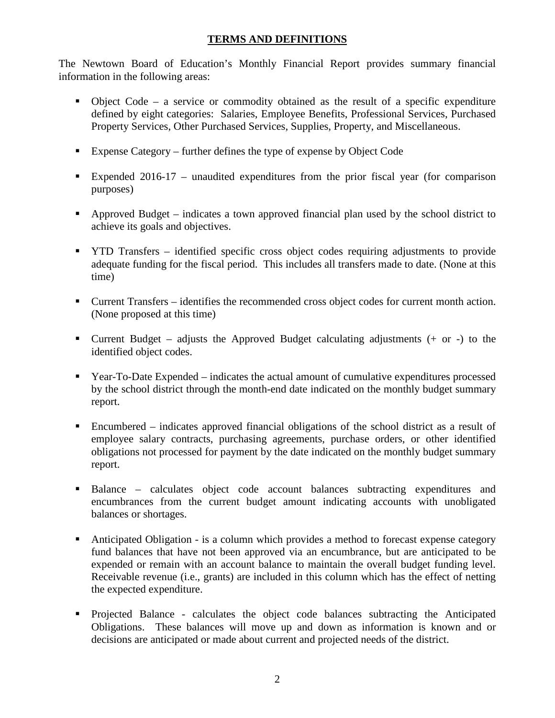# **TERMS AND DEFINITIONS**

The Newtown Board of Education's Monthly Financial Report provides summary financial information in the following areas:

- $\bullet$  Object Code a service or commodity obtained as the result of a specific expenditure defined by eight categories: Salaries, Employee Benefits, Professional Services, Purchased Property Services, Other Purchased Services, Supplies, Property, and Miscellaneous.
- Expense Category further defines the type of expense by Object Code
- Expended 2016-17 unaudited expenditures from the prior fiscal year (for comparison purposes)
- Approved Budget indicates a town approved financial plan used by the school district to achieve its goals and objectives.
- **THE TRANSFER** identified specific cross object codes requiring adjustments to provide adequate funding for the fiscal period. This includes all transfers made to date. (None at this time)
- Current Transfers identifies the recommended cross object codes for current month action. (None proposed at this time)
- **Current Budget** adjusts the Approved Budget calculating adjustments  $(+)$  or  $-)$  to the identified object codes.
- Year-To-Date Expended indicates the actual amount of cumulative expenditures processed by the school district through the month-end date indicated on the monthly budget summary report.
- Encumbered indicates approved financial obligations of the school district as a result of employee salary contracts, purchasing agreements, purchase orders, or other identified obligations not processed for payment by the date indicated on the monthly budget summary report.
- Balance calculates object code account balances subtracting expenditures and encumbrances from the current budget amount indicating accounts with unobligated balances or shortages.
- Anticipated Obligation is a column which provides a method to forecast expense category fund balances that have not been approved via an encumbrance, but are anticipated to be expended or remain with an account balance to maintain the overall budget funding level. Receivable revenue (i.e., grants) are included in this column which has the effect of netting the expected expenditure.
- Projected Balance calculates the object code balances subtracting the Anticipated Obligations. These balances will move up and down as information is known and or decisions are anticipated or made about current and projected needs of the district.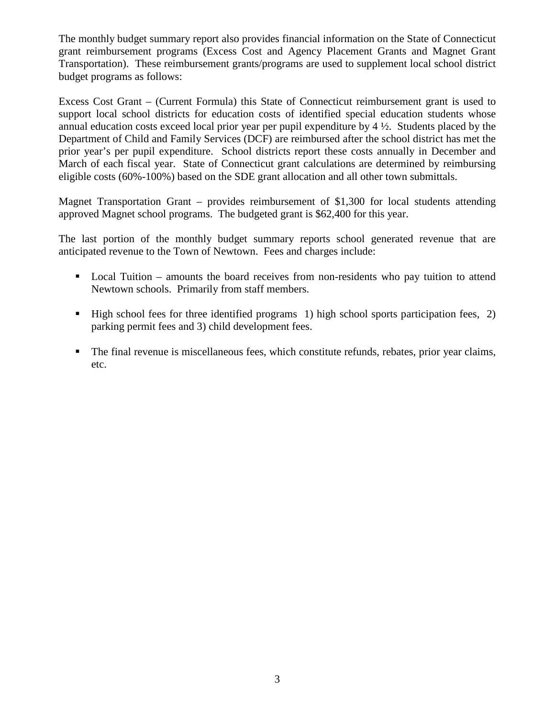The monthly budget summary report also provides financial information on the State of Connecticut grant reimbursement programs (Excess Cost and Agency Placement Grants and Magnet Grant Transportation). These reimbursement grants/programs are used to supplement local school district budget programs as follows:

Excess Cost Grant – (Current Formula) this State of Connecticut reimbursement grant is used to support local school districts for education costs of identified special education students whose annual education costs exceed local prior year per pupil expenditure by  $4\frac{1}{2}$ . Students placed by the Department of Child and Family Services (DCF) are reimbursed after the school district has met the prior year's per pupil expenditure. School districts report these costs annually in December and March of each fiscal year. State of Connecticut grant calculations are determined by reimbursing eligible costs (60%-100%) based on the SDE grant allocation and all other town submittals.

Magnet Transportation Grant – provides reimbursement of \$1,300 for local students attending approved Magnet school programs. The budgeted grant is \$62,400 for this year.

The last portion of the monthly budget summary reports school generated revenue that are anticipated revenue to the Town of Newtown. Fees and charges include:

- Local Tuition amounts the board receives from non-residents who pay tuition to attend Newtown schools. Primarily from staff members.
- $\blacksquare$  High school fees for three identified programs 1) high school sports participation fees, 2) parking permit fees and 3) child development fees.
- The final revenue is miscellaneous fees, which constitute refunds, rebates, prior year claims, etc.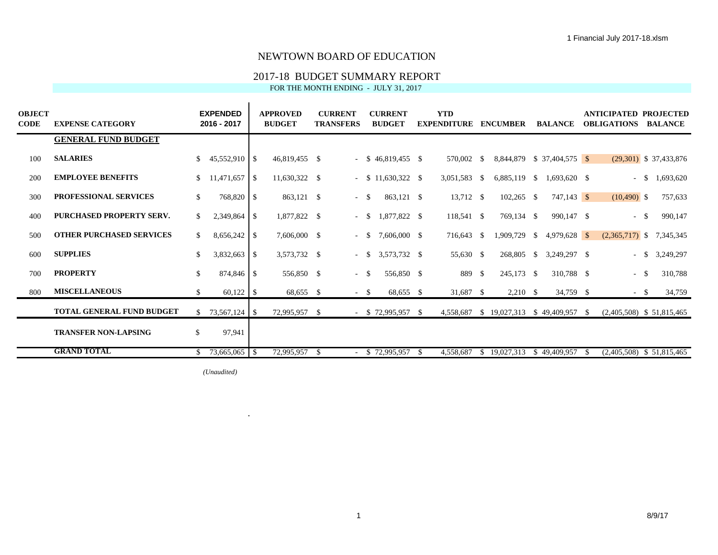## 2017-18 BUDGET SUMMARY REPORT

FOR THE MONTH ENDING - JULY 31, 2017

| OBJECT<br>CODE | <b>EXPENSE CATEGORY</b>          |     | <b>EXPENDED</b><br>2016 - 2017 | <b>APPROVED</b><br><b>BUDGET</b> |    | <b>CURRENT</b><br><b>TRANSFERS</b> |            | <b>CURRENT</b><br><b>BUDGET</b> | <b>YTD</b><br><b>EXPENDITURE</b> |      | <b>ENCUMBER</b>                          |          | <b>BALANCE</b>             |      | <b>ANTICIPATED PROJECTED</b><br><b>OBLIGATIONS</b> |        | <b>BALANCE</b>           |
|----------------|----------------------------------|-----|--------------------------------|----------------------------------|----|------------------------------------|------------|---------------------------------|----------------------------------|------|------------------------------------------|----------|----------------------------|------|----------------------------------------------------|--------|--------------------------|
|                | <b>GENERAL FUND BUDGET</b>       |     |                                |                                  |    |                                    |            |                                 |                                  |      |                                          |          |                            |      |                                                    |        |                          |
| 100            | <b>SALARIES</b>                  | \$. | $45,552,910$ \$                | 46,819,455 \$                    |    |                                    |            | $-$ \$ 46.819.455 \$            | 570,002                          | - \$ |                                          |          | 8,844,879 \$ 37,404,575 \$ |      |                                                    |        | $(29,301)$ \$ 37,433,876 |
| 200            | <b>EMPLOYEE BENEFITS</b>         |     | $11,471,657$ \$                | $11,630,322$ \$                  |    |                                    |            | $-$ \$ 11,630,322 \$            | 3,051,583                        | - \$ | $6,885,119$ \$                           |          | $1,693,620$ \$             |      |                                                    | $-$ \$ | 1,693,620                |
| 300            | <b>PROFESSIONAL SERVICES</b>     | \$  | 768,820 \$                     | 863,121 \$                       |    | $-$ \$                             |            | 863,121 \$                      | $13,712$ \$                      |      | $102,265$ \$                             |          | 747,143 \$                 |      | $(10,490)$ \$                                      |        | 757,633                  |
| 400            | <b>PURCHASED PROPERTY SERV.</b>  | \$  |                                | 1,877,822 \$                     |    | $-$ \$                             |            | 1,877,822 \$                    | $118,541$ \$                     |      | 769,134 \$                               |          | 990,147 \$                 |      |                                                    | $-$ \$ | 990,147                  |
| 500            | <b>OTHER PURCHASED SERVICES</b>  | \$  |                                | 7,606,000 \$                     |    | $\sim$                             | $^{\circ}$ | 7,606,000 \$                    | 716,643                          | - \$ | 1,909,729                                | -S       | $4,979,628$ \$             |      | $(2,365,717)$ \$ 7,345,345                         |        |                          |
| 600            | <b>SUPPLIES</b>                  |     | $3,832,663$ \$                 | 3,573,732 \$                     |    | $- S$                              |            | 3,573,732 \$                    | 55,630 \$                        |      | 268,805                                  | <b>S</b> | 3,249,297 \$               |      | $-$ \$                                             |        | 3,249,297                |
| 700            | <b>PROPERTY</b>                  | \$  | 874,846 \$                     | 556,850 \$                       |    | $-$ \$                             |            | 556,850 \$                      | 889 \$                           |      | 245,173 \$                               |          | 310,788 \$                 |      | $-$ \$                                             |        | 310,788                  |
| 800            | <b>MISCELLANEOUS</b>             | S.  |                                | 68,655 \$                        |    | $-$ \$                             |            | 68,655 \$                       | 31,687 \$                        |      | $2,210$ \$                               |          | 34,759 \$                  |      | $- S$                                              |        | 34,759                   |
|                | <b>TOTAL GENERAL FUND BUDGET</b> |     |                                | 72,995,957 \$                    |    |                                    |            | $-$ \$ 72,995,957 \$            |                                  |      | 4,558,687 \$ 19,027,313 \$ 49,409,957 \$ |          |                            |      | $(2,405,508)$ \$ 51,815,465                        |        |                          |
|                | <b>TRANSFER NON-LAPSING</b>      | \$  | 97,941                         |                                  |    |                                    |            |                                 |                                  |      |                                          |          |                            |      |                                                    |        |                          |
|                | <b>GRAND TOTAL</b>               |     | $$73,665,065$ \ \ \$           | 72,995,957                       | -S |                                    |            | $$72,995,957$ \;                | 4,558,687                        |      | \$19,027,313                             |          | \$49,409,957               | - \$ | $(2,405,508)$ \$ 51,815,465                        |        |                          |

*(Unaudited)*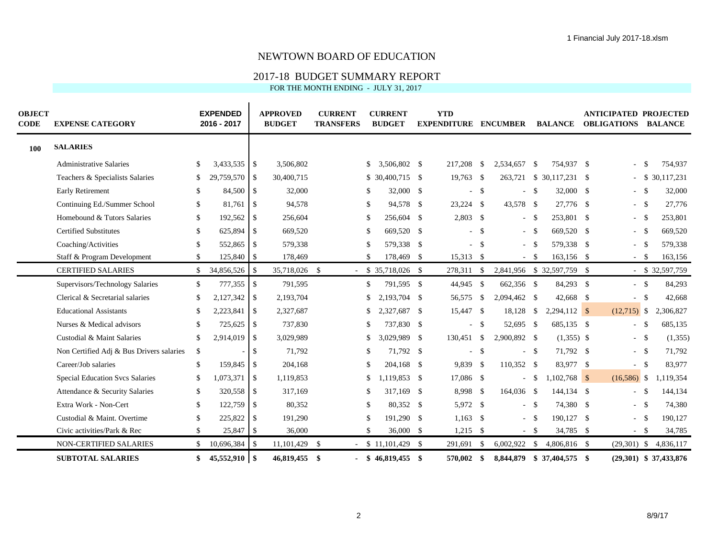### 2017-18 BUDGET SUMMARY REPORT

| <b>OBJECT</b><br><b>CODE</b> | <b>EXPENSE CATEGORY</b>                  |              | <b>EXPENDED</b><br>2016 - 2017 |              | <b>APPROVED</b><br><b>BUDGET</b> |              | <b>CURRENT</b><br><b>TRANSFERS</b> |               | <b>CURRENT</b><br><b>BUDGET</b> |              | <b>YTD</b><br><b>EXPENDITURE ENCUMBER</b> |              |              |          | <b>BALANCE</b>             |     | <b>ANTICIPATED PROJECTED</b><br><b>OBLIGATIONS</b> |            | <b>BALANCE</b>           |
|------------------------------|------------------------------------------|--------------|--------------------------------|--------------|----------------------------------|--------------|------------------------------------|---------------|---------------------------------|--------------|-------------------------------------------|--------------|--------------|----------|----------------------------|-----|----------------------------------------------------|------------|--------------------------|
| 100                          | <b>SALARIES</b>                          |              |                                |              |                                  |              |                                    |               |                                 |              |                                           |              |              |          |                            |     |                                                    |            |                          |
|                              | <b>Administrative Salaries</b>           | S.           |                                |              | 3,506,802                        |              |                                    |               | 3,506,802 \$                    |              | 217,208                                   | - \$         | 2,534,657    | - \$     | 754,937 \$                 |     |                                                    | - \$       | 754,937                  |
|                              | Teachers & Specialists Salaries          | \$           | 29,759,570                     | $\mathbb{S}$ | 30,400,715                       |              |                                    |               | $$30,400,715$ \$                |              | $19,763$ \$                               |              | 263,721      |          | $$30,117,231$ \$           |     |                                                    |            | \$ 30,117,231            |
|                              | <b>Early Retirement</b>                  | \$.          | 84,500 \$                      |              | 32,000                           |              |                                    |               | 32,000 \$                       |              |                                           | - \$         | ÷            | <b>S</b> | 32,000 \$                  |     | $-$ \$                                             |            | 32,000                   |
|                              | Continuing Ed./Summer School             | \$           | 81,761                         | \$           | 94,578                           |              |                                    | \$            | 94,578 \$                       |              | $23,224$ \$                               |              | 43,578 \$    |          | 27,776 \$                  |     | $-$ \$                                             |            | 27,776                   |
|                              | Homebound & Tutors Salaries              | \$.          | 192,562                        | \$           | 256,604                          |              |                                    | -S            | 256,604 \$                      |              | $2,803$ \$                                |              | $\sim$       | - \$     | 253,801 \$                 |     | $-5$                                               |            | 253,801                  |
|                              | <b>Certified Substitutes</b>             | \$.          | 625,894                        | \$           | 669,520                          |              |                                    | <sup>\$</sup> | 669,520 \$                      |              |                                           | -S           |              | $-$ \$   | 669,520 \$                 |     | $-$ \$                                             |            | 669,520                  |
|                              | Coaching/Activities                      |              | 552,865                        | -\$          | 579,338                          |              |                                    |               | 579,338 \$                      |              |                                           | - \$         | $\sim$       | -S       | 579,338 \$                 |     |                                                    |            | 579,338                  |
|                              | Staff & Program Development              |              | 125,840                        | \$           | 178,469                          |              |                                    | \$            | 178,469                         | $\mathbf{s}$ | 15,313 \$                                 |              |              | $-$ \$   | 163,156                    | -\$ | $-$ \$                                             |            | 163,156                  |
|                              | <b>CERTIFIED SALARIES</b>                | <sup>S</sup> | 34,856,526                     | \$           | 35,718,026 \$                    |              |                                    |               | $-$ \$ 35,718,026 \$            |              | 278,311 \$                                |              |              |          | 2,841,956 \$ 32,597,759 \$ |     |                                                    |            | $-$ \$ 32,597,759        |
|                              | Supervisors/Technology Salaries          | \$           | 777,355                        | $\mathbb{S}$ | 791,595                          |              |                                    | <sup>\$</sup> | 791,595 \$                      |              | 44,945 \$                                 |              | 662,356 \$   |          | 84,293 \$                  |     | $-$ \$                                             |            | 84,293                   |
|                              | Clerical & Secretarial salaries          |              |                                |              | 2,193,704                        |              |                                    |               | 2,193,704 \$                    |              | 56,575                                    | $\mathbf{s}$ | 2,094,462 \$ |          | 42,668 \$                  |     |                                                    | $^{\circ}$ | 42,668                   |
|                              | <b>Educational Assistants</b>            |              | 2,223,841                      | \$           | 2,327,687                        |              |                                    |               | 2,327,687 \$                    |              | 15,447 \$                                 |              | 18,128       | \$       | $2,294,112$ \$             |     | $(12,715)$ \$                                      |            | 2,306,827                |
|                              | Nurses & Medical advisors                | \$.          | 725,625                        | -\$          | 737,830                          |              |                                    | <sup>\$</sup> | 737,830 \$                      |              | $\sim$                                    | -\$          | 52,695 \$    |          | 685,135 \$                 |     | $-5$                                               |            | 685,135                  |
|                              | Custodial & Maint Salaries               |              | 2,914,019                      | $\mathbb{S}$ | 3,029,989                        |              |                                    |               | 3,029,989 \$                    |              | 130,451 \$                                |              | 2,900,892 \$ |          | $(1,355)$ \$               |     | $-5$                                               |            | (1,355)                  |
|                              | Non Certified Adj & Bus Drivers salaries | \$           |                                | \$           | 71,792                           |              |                                    | S             | 71,792 \$                       |              |                                           | -\$          | $\sim$       | - \$     | 71,792 \$                  |     | $-$ \$                                             |            | 71,792                   |
|                              | Career/Job salaries                      | \$           | 159,845 \$                     |              | 204,168                          |              |                                    | <sup>\$</sup> | 204,168 \$                      |              | 9,839 \$                                  |              | 110,352 \$   |          | 83,977 \$                  |     | $-$ \$                                             |            | 83,977                   |
|                              | Special Education Svcs Salaries          |              |                                |              | 1,119,853                        |              |                                    |               | 1,119,853 \$                    |              | 17,086 \$                                 |              | $\sim$       | \$       | $1,102,768$ \$             |     | $(16,586)$ \$                                      |            | 1,119,354                |
|                              | Attendance & Security Salaries           | \$.          | 320,558                        | \$           | 317,169                          |              |                                    | -S            | 317,169 \$                      |              | 8,998 \$                                  |              | 164,036 \$   |          | 144,134 \$                 |     |                                                    |            | 144,134                  |
|                              | Extra Work - Non-Cert                    | \$.          | 122,759 \$                     |              | 80,352                           |              |                                    | <sup>\$</sup> | 80,352 \$                       |              | 5,972 \$                                  |              |              | - \$     | 74,380 \$                  |     | $-$ \$                                             |            | 74,380                   |
|                              | Custodial & Maint. Overtime              |              | 225,822                        | \$           | 191,290                          |              |                                    |               | 191,290 \$                      |              | 1,163                                     | - \$         | $\sim$       | -S       | 190,127                    | -\$ |                                                    |            | 190,127                  |
|                              | Civic activities/Park & Rec              |              |                                |              | 36,000                           |              |                                    | \$            | $36,000$ \$                     |              | $1,215$ \$                                |              |              | $-$ \$   | 34,785 \$                  |     | $-$ \$                                             |            | 34,785                   |
|                              | NON-CERTIFIED SALARIES                   |              | 10,696,384                     | $\mathbb{S}$ | 11,101,429                       | $\mathbb{S}$ |                                    |               | $-$ \$ 11,101,429 \$            |              | 291,691                                   | - \$         | 6,002,922    | <b>S</b> | 4,806,816 \$               |     | $(29,301)$ \$                                      |            | 4,836,117                |
|                              | <b>SUBTOTAL SALARIES</b>                 | \$           | $45,552,910$ \$                |              | 46,819,455                       | -\$          |                                    |               | $$46.819.455$ \$                |              | 570,002                                   | - \$         | 8,844,879    |          | $$37,404,575$ \$           |     |                                                    |            | $(29,301)$ \$ 37,433,876 |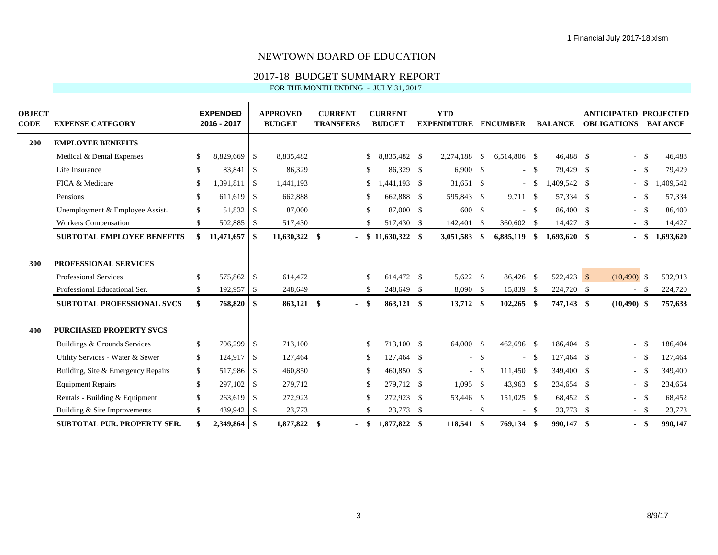#### 2017-18 BUDGET SUMMARY REPORT

| <b>OBJECT</b><br>CODE | <b>EXPENSE CATEGORY</b>                                                                                                                                                                                                                |                            | <b>EXPENDED</b><br>2016 - 2017                                          |                     | <b>APPROVED</b><br><b>BUDGET</b>                              |     | <b>CURRENT</b><br><b>TRANSFERS</b> |                                                        | <b>CURRENT</b><br><b>BUDGET</b>                                                 | <b>YTD</b><br><b>EXPENDITURE</b>                         |                                 | <b>ENCUMBER</b>                                     |                | <b>BALANCE</b>                                                                 | <b>ANTICIPATED PROJECTED</b><br><b>OBLIGATIONS</b>   |                             | <b>BALANCE</b>                                               |
|-----------------------|----------------------------------------------------------------------------------------------------------------------------------------------------------------------------------------------------------------------------------------|----------------------------|-------------------------------------------------------------------------|---------------------|---------------------------------------------------------------|-----|------------------------------------|--------------------------------------------------------|---------------------------------------------------------------------------------|----------------------------------------------------------|---------------------------------|-----------------------------------------------------|----------------|--------------------------------------------------------------------------------|------------------------------------------------------|-----------------------------|--------------------------------------------------------------|
| 200                   | <b>EMPLOYEE BENEFITS</b>                                                                                                                                                                                                               |                            |                                                                         |                     |                                                               |     |                                    |                                                        |                                                                                 |                                                          |                                 |                                                     |                |                                                                                |                                                      |                             |                                                              |
|                       | Medical & Dental Expenses                                                                                                                                                                                                              |                            | 8,829,669                                                               | <b>S</b>            | 8,835,482                                                     |     |                                    | \$                                                     | 8,835,482 \$                                                                    | 2,274,188                                                | <sup>\$</sup>                   | 6,514,806 \$                                        |                | 46,488 \$                                                                      | $\overline{\phantom{0}}$                             | <b>S</b>                    | 46,488                                                       |
|                       | Life Insurance                                                                                                                                                                                                                         | \$.                        | 83,841                                                                  | <b>S</b>            | 86,329                                                        |     |                                    | S.                                                     | 86,329 \$                                                                       | $6,900$ \$                                               |                                 |                                                     | - \$           | 79,429 \$                                                                      | $-5$                                                 |                             | 79,429                                                       |
|                       | FICA & Medicare                                                                                                                                                                                                                        |                            | 1,391,811                                                               | <b>S</b>            | 1,441,193                                                     |     |                                    | \$                                                     | $,441,193$ \$                                                                   | $31,651$ \$                                              |                                 |                                                     | - \$           | 1,409,542 \$                                                                   | $\blacksquare$                                       | -\$                         | 1,409,542                                                    |
|                       | Pensions                                                                                                                                                                                                                               | \$.                        | 611,619                                                                 | l \$                | 662,888                                                       |     |                                    | S.                                                     | 662,888 \$                                                                      | 595,843 \$                                               |                                 | 9,711 \$                                            |                | 57,334 \$                                                                      | $\blacksquare$                                       | - \$                        | 57,334                                                       |
|                       | Unemployment & Employee Assist.                                                                                                                                                                                                        | \$                         |                                                                         |                     | 87,000                                                        |     |                                    | <sup>\$</sup>                                          | 87,000 \$                                                                       | 600 \$                                                   |                                 |                                                     | $-$ \$         | 86,400 \$                                                                      | $-$ \$                                               |                             | 86,400                                                       |
|                       | <b>Workers Compensation</b>                                                                                                                                                                                                            |                            | 502,885 \$                                                              |                     | 517,430                                                       |     |                                    | \$                                                     | 517,430 \$                                                                      | 142,401 \$                                               |                                 | 360,602 \$                                          |                | 14,427 \$                                                                      | $-$ \$                                               |                             | 14,427                                                       |
|                       | <b>SUBTOTAL EMPLOYEE BENEFITS</b>                                                                                                                                                                                                      |                            | 11,471,657                                                              | l \$                | 11,630,322                                                    | \$  | $\blacksquare$                     |                                                        | $$11,630,322$ \\$                                                               | 3,051,583                                                | \$                              | 6,885,119                                           | \$             | $1,693,620$ \$                                                                 | $\blacksquare$                                       | - \$                        | 1,693,620                                                    |
| 300                   | PROFESSIONAL SERVICES<br><b>Professional Services</b><br>Professional Educational Ser.<br><b>SUBTOTAL PROFESSIONAL SVCS</b>                                                                                                            | S.<br>\$.<br>\$            | 575,862<br>192,957 \$<br>768,820                                        | \$<br>\$            | 614,472<br>248,649<br>863,121 \$                              |     | $\blacksquare$                     | <sup>\$</sup><br>S.<br>-\$                             | 614,472 \$<br>248,649 \$<br>863,121 \$                                          | 5,622 \$<br>$8,090$ \$<br>13,712 \$                      |                                 | 86,426 \$<br>15,839 \$<br>$102,265$ \$              |                | 522,423 \$<br>224,720 \$<br>747,143 \$                                         | $(10,490)$ \$<br>$-$ \$<br>$(10, 490)$ \$            |                             | 532,913<br>224,720<br>757,633                                |
| 400                   | <b>PURCHASED PROPERTY SVCS</b><br>Buildings & Grounds Services<br>Utility Services - Water & Sewer<br>Building, Site & Emergency Repairs<br><b>Equipment Repairs</b><br>Rentals - Building & Equipment<br>Building & Site Improvements | \$<br>\$<br>\$<br>\$<br>\$ | 706,299 \$<br>124,917<br>517,986 \$<br>297,102<br>263,619<br>439,942 \$ | l \$<br>-\$<br>l \$ | 713,100<br>127,464<br>460,850<br>279,712<br>272,923<br>23,773 |     |                                    | <sup>\$</sup><br><sup>\$</sup><br>\$<br>\$<br>S.<br>\$ | 713,100 \$<br>127,464 \$<br>460,850 \$<br>279,712 \$<br>272,923 \$<br>23,773 \$ | 64,000 \$<br>$\sim$<br>$1,095$ \$<br>53,446 \$<br>$\sim$ | <sup>\$</sup><br>$-$ \$<br>- \$ | 462,696 \$<br>111,450 \$<br>43,963 \$<br>151,025 \$ | $-5$<br>$-$ \$ | 186,404 \$<br>127,464 \$<br>349,400 \$<br>234,654 \$<br>68,452 \$<br>23,773 \$ | ÷.<br>$\sim$<br>$\sim$<br>$\sim$<br>$-$ \$<br>$-$ \$ | -\$<br>- \$<br>- \$<br>- \$ | 186,404<br>127,464<br>349,400<br>234,654<br>68,452<br>23,773 |
|                       | <b>SUBTOTAL PUR. PROPERTY SER.</b>                                                                                                                                                                                                     |                            |                                                                         |                     | 1,877,822                                                     | -\$ | $\blacksquare$                     | \$                                                     | 1,877,822 \$                                                                    | 118,541                                                  | - \$                            | 769,134 \$                                          |                | 990.147 \$                                                                     | $\blacksquare$                                       | -\$                         | 990,147                                                      |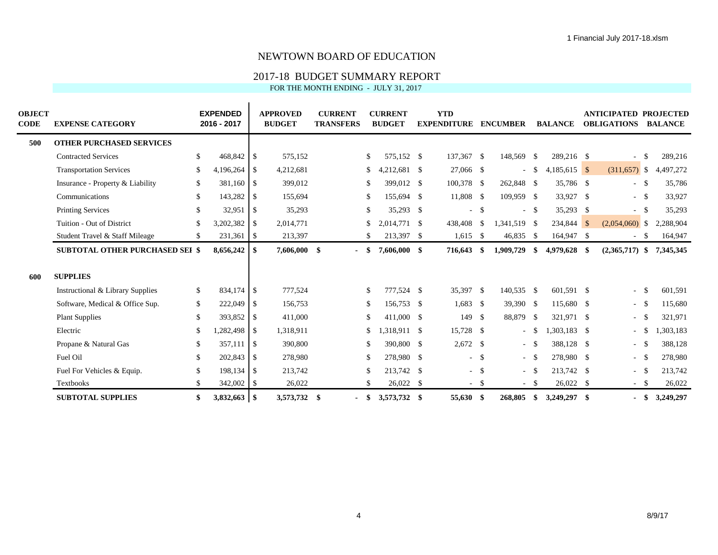### 2017-18 BUDGET SUMMARY REPORT

| <b>OBJECT</b><br>CODE | <b>EXPENSE CATEGORY</b>                |     | <b>EXPENDED</b><br>2016 - 2017 |               | <b>APPROVED</b><br><b>BUDGET</b> |      | <b>CURRENT</b><br><b>TRANSFERS</b> |               | <b>CURRENT</b><br><b>BUDGET</b> | <b>YTD</b><br><b>EXPENDITURE</b> |          | <b>ENCUMBER</b>             |               | <b>BALANCE</b> |     | <b>ANTICIPATED PROJECTED</b><br><b>OBLIGATIONS</b> |            | <b>BALANCE</b> |
|-----------------------|----------------------------------------|-----|--------------------------------|---------------|----------------------------------|------|------------------------------------|---------------|---------------------------------|----------------------------------|----------|-----------------------------|---------------|----------------|-----|----------------------------------------------------|------------|----------------|
| 500                   | <b>OTHER PURCHASED SERVICES</b>        |     |                                |               |                                  |      |                                    |               |                                 |                                  |          |                             |               |                |     |                                                    |            |                |
|                       | <b>Contracted Services</b>             | \$  | 468,842 \$                     |               | 575,152                          |      |                                    | <sup>\$</sup> | 575,152 \$                      | 137,367 \$                       |          | 148,569                     | \$            | 289,216 \$     |     |                                                    |            | 289,216        |
|                       | <b>Transportation Services</b>         | \$  | 4,196,264                      | \$            | 4,212,681                        |      |                                    | S.            | $4,212,681$ \$                  | 27,066 \$                        |          | $\sim$                      | <sup>\$</sup> | $4,185,615$ \$ |     | $(311,657)$ \$                                     |            | 4,497,272      |
|                       | Insurance - Property & Liability       | \$  | 381,160 \$                     |               | 399,012                          |      |                                    | -S            | 399,012 \$                      | 100,378 \$                       |          | 262,848 \$                  |               | 35,786 \$      |     | $-5$                                               |            | 35,786         |
|                       | Communications                         | \$  | 143,282                        | -S            | 155,694                          |      |                                    | -S            | 155,694 \$                      | 11,808 \$                        |          | 109,959 \$                  |               | 33,927 \$      |     | $-$ \$                                             |            | 33,927         |
|                       | <b>Printing Services</b>               |     | 32,951                         | -\$           | 35,293                           |      |                                    | \$            | 35,293 \$                       | $\sim$                           | - \$     | $\mathcal{L}_{\mathcal{A}}$ | <b>S</b>      | $35,293$ \$    |     | $-$ \$                                             |            | 35,293         |
|                       | Tuition - Out of District              |     | 3,202,382                      | \$            | 2,014,771                        |      |                                    |               | 2,014,771 \$                    | 438,408                          | - \$     | 1,341,519 \$                |               | $234,844$ \$   |     | $(2,054,060)$ \$                                   |            | 2,288,904      |
|                       | Student Travel & Staff Mileage         |     | 231,361                        | \$            | 213,397                          |      |                                    |               | 213,397 \$                      | $1,615$ \$                       |          | 46,835                      | - \$          | 164,947        | -\$ |                                                    | - \$       | 164,947        |
|                       | <b>SUBTOTAL OTHER PURCHASED SEI \$</b> |     | 8,656,242                      | \$            | 7,606,000                        | -\$  |                                    |               | 7,606,000 \$                    | 716,643                          | -\$      | 1,909,729                   | \$            | 4,979,628      | -\$ | $(2,365,717)$ \$                                   |            | 7,345,345      |
| 600                   | <b>SUPPLIES</b>                        |     |                                |               |                                  |      |                                    |               |                                 |                                  |          |                             |               |                |     |                                                    |            |                |
|                       | Instructional & Library Supplies       | \$. |                                |               | 777,524                          |      |                                    | <sup>\$</sup> | 777,524 \$                      | 35,397 \$                        |          | 140,535 \$                  |               | 601,591 \$     |     | $-$ \$                                             |            | 601,591        |
|                       | Software, Medical & Office Sup.        | \$  | 222,049                        | \$            | 156,753                          |      |                                    | \$            | 156,753 \$                      | $1,683$ \$                       |          | $39,390$ \$                 |               | 115,680 \$     |     | $-5$                                               |            | 115,680        |
|                       | <b>Plant Supplies</b>                  | \$  | 393,852 \$                     |               | 411,000                          |      |                                    | \$            | 411,000 \$                      | 149                              | <b>S</b> | 88,879                      | - \$          | 321,971 \$     |     |                                                    |            | 321,971        |
|                       | Electric                               |     | 1,282,498                      | <sup>\$</sup> | 1,318,911                        |      |                                    |               | 1,318,911 \$                    | 15,728 \$                        |          | $\sim$                      | -S            | 1,303,183 \$   |     |                                                    |            | ,303,183       |
|                       | Propane & Natural Gas                  | S.  | 357,111 \$                     |               | 390,800                          |      |                                    | <sup>\$</sup> | 390,800 \$                      | $2,672$ \$                       |          | $\sim$ $-$                  |               | 388,128 \$     |     |                                                    | $^{\circ}$ | 388,128        |
|                       | Fuel Oil                               | \$  | 202,843 \$                     |               | 278,980                          |      |                                    | <sup>\$</sup> | 278,980 \$                      |                                  | $-5$     | $\sim$                      | -S            | 278,980 \$     |     |                                                    |            | 278,980        |
|                       | Fuel For Vehicles & Equip.             |     |                                |               | 213,742                          |      |                                    |               | 213,742 \$                      | $\sim$                           | - \$     | $\sim$                      | -\$           | 213,742 \$     |     | $-$ \$                                             |            | 213,742        |
|                       | Textbooks                              |     | $342,002$ \$                   |               | 26,022                           |      |                                    | S.            | $26,022$ \$                     | $\sim$                           | - \$     | $\sim$                      | - \$          | $26,022$ \$    |     | $- S$                                              |            | 26,022         |
|                       | <b>SUBTOTAL SUPPLIES</b>               |     |                                |               | 3,573,732                        | - \$ |                                    | \$            | 3,573,732 \$                    | 55,630 \$                        |          | 268,805                     | \$            | 3,249,297      | -\$ |                                                    | - \$       | 3,249,297      |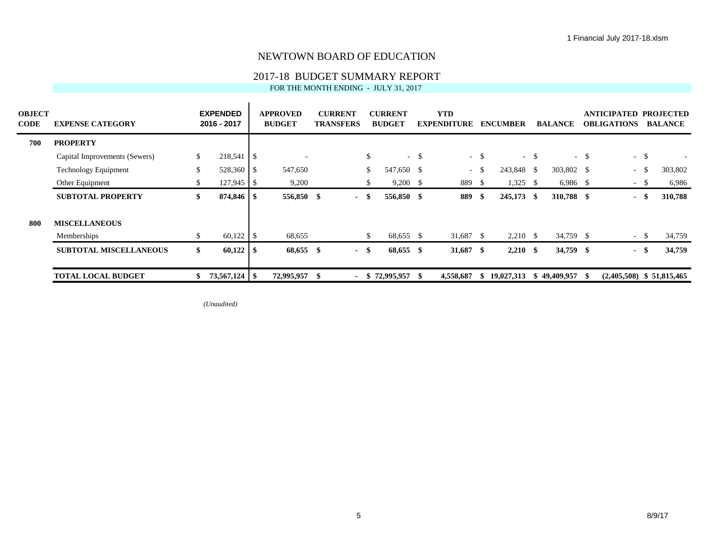#### 2017-18 BUDGET SUMMARY REPORT

FOR THE MONTH ENDING - JULY 31, 2017

| <b>OBJECT</b><br>CODE | <b>EXPENSE CATEGORY</b>       |     | <b>EXPENDED</b><br>2016 - 2017 |      | <b>APPROVED</b><br><b>BUDGET</b> |      | <b>CURRENT</b><br><b>TRANSFERS</b> |    | <b>CURRENT</b><br><b>BUDGET</b> | <b>YTD</b><br><b>EXPENDITURE</b> |        | <b>ENCUMBER</b> |        | <b>BALANCE</b> |        | <b>ANTICIPATED PROJECTED</b><br><b>OBLIGATIONS</b> |        | <b>BALANCE</b> |
|-----------------------|-------------------------------|-----|--------------------------------|------|----------------------------------|------|------------------------------------|----|---------------------------------|----------------------------------|--------|-----------------|--------|----------------|--------|----------------------------------------------------|--------|----------------|
| 700                   | <b>PROPERTY</b>               |     |                                |      |                                  |      |                                    |    |                                 |                                  |        |                 |        |                |        |                                                    |        |                |
|                       | Capital Improvements (Sewers) | \$  | $218,541$ \$                   |      |                                  |      |                                    | \$ | $-$ \$                          |                                  | $-$ \$ |                 | $-$ \$ |                | $-$ \$ |                                                    | $-$ \$ |                |
|                       | <b>Technology Equipment</b>   | \$. | $528,360$   \$                 |      | 547,650                          |      |                                    |    | 547,650 \$                      | $\sim$ 10 $\,$                   |        | 243,848 \$      |        | 303,802 \$     |        | $-$ \$                                             |        | 303,802        |
|                       | Other Equipment               |     | 127,945                        | - S  | 9,200                            |      |                                    |    | $9,200$ \$                      | 889                              | - \$   | 1,325           | - \$   | $6,986$ \$     |        | - 5                                                |        | 6,986          |
|                       | <b>SUBTOTAL PROPERTY</b>      | \$  |                                |      | 556,850 \$                       |      | - \$                               |    | 556,850 \$                      | 889                              | - \$   | $245,173$ \$    |        | 310,788 \$     |        |                                                    | - \$   | 310,788        |
| 800                   | <b>MISCELLANEOUS</b>          |     |                                |      |                                  |      |                                    |    |                                 |                                  |        |                 |        |                |        |                                                    |        |                |
|                       | Memberships                   |     |                                |      | 68,655                           |      |                                    | S. | 68,655 \$                       | 31,687 \$                        |        | $2,210$ \$      |        | 34,759 \$      |        | $- S$                                              |        | 34,759         |
|                       | <b>SUBTOTAL MISCELLANEOUS</b> | \$  | 60,122                         | - \$ | 68,655                           | -\$  | - \$                               |    | 68,655 \$                       | 31,687 \$                        |        | $2,210$ \$      |        | 34,759 \$      |        |                                                    | - \$   | 34,759         |
|                       | <b>TOTAL LOCAL BUDGET</b>     |     | $73,567,124$ \\$               |      | 72,995,957                       | - 56 | $\blacksquare$                     |    | $$72,995,957$ \;                | 4,558,687                        | - SS   | 19,027,313      | ж      | 49,409,957     | - 15   | $(2,405,508)$ \$ 51,815,465                        |        |                |

*(Unaudited)*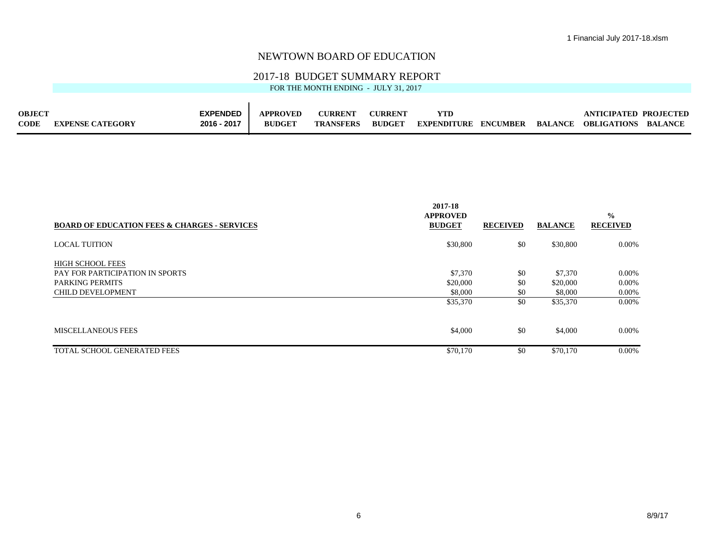#### 2017-18 BUDGET SUMMARY REPORT

| <b>OBJECT</b> |                         | <b>EXPENDED</b> | <b>APPROVED</b> | <b>CURRENT</b>   | <b>CURRENT</b> | YTD                                 |  | <b>ANTICIPATED PROJECTED</b> |         |
|---------------|-------------------------|-----------------|-----------------|------------------|----------------|-------------------------------------|--|------------------------------|---------|
| <b>CODE</b>   | <b>EXPENSE CATEGORY</b> | 2016 - 2017     | <b>BUDGET</b>   | <b>TRANSFERS</b> | <b>BUDGET</b>  | <b>EXPENDITURE ENCUMBER BALANCE</b> |  | OBLIGATIONS                  | BALANCE |

| <b>BOARD OF EDUCATION FEES &amp; CHARGES - SERVICES</b> | 2017-18<br><b>APPROVED</b><br><b>BUDGET</b> | <b>RECEIVED</b> | <b>BALANCE</b> | $\frac{0}{0}$<br><b>RECEIVED</b> |
|---------------------------------------------------------|---------------------------------------------|-----------------|----------------|----------------------------------|
|                                                         |                                             |                 |                |                                  |
| <b>LOCAL TUITION</b>                                    | \$30,800                                    | \$0             | \$30,800       | $0.00\%$                         |
| <b>HIGH SCHOOL FEES</b>                                 |                                             |                 |                |                                  |
| PAY FOR PARTICIPATION IN SPORTS                         | \$7,370                                     | \$0             | \$7,370        | 0.00%                            |
| <b>PARKING PERMITS</b>                                  | \$20,000                                    | \$0             | \$20,000       | $0.00\%$                         |
| <b>CHILD DEVELOPMENT</b>                                | \$8,000                                     | \$0             | \$8,000        | $0.00\%$                         |
|                                                         | \$35,370                                    | \$0             | \$35,370       | $0.00\%$                         |
| <b>MISCELLANEOUS FEES</b>                               | \$4,000                                     | \$0             | \$4,000        | $0.00\%$                         |
| TOTAL SCHOOL GENERATED FEES                             | \$70,170                                    | \$0             | \$70,170       | 0.00%                            |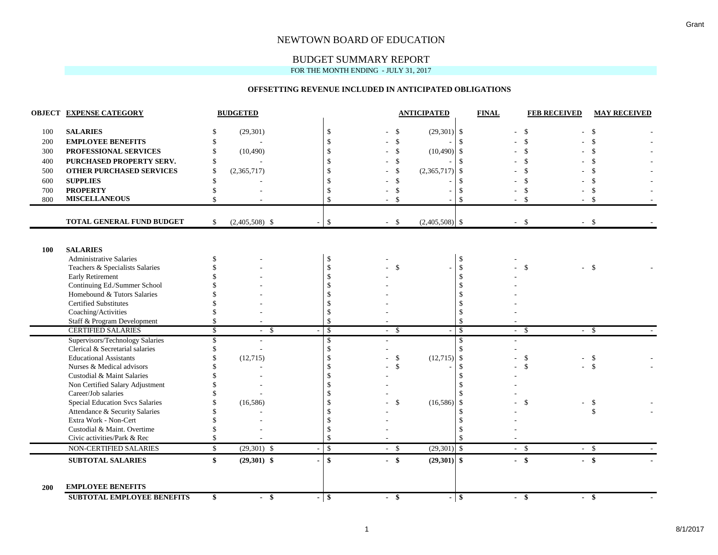### BUDGET SUMMARY REPORT

FOR THE MONTH ENDING - JULY 31, 2017

#### **OFFSETTING REVENUE INCLUDED IN ANTICIPATED OBLIGATIONS**

|     | <b>OBJECT EXPENSE CATEGORY</b>                                           |               | <b>BUDGETED</b>       |                                  |                                       |                    | <b>ANTICIPATED</b> |               | <b>FINAL</b> | <b>FEB RECEIVED</b> | <b>MAY RECEIVED</b>              |
|-----|--------------------------------------------------------------------------|---------------|-----------------------|----------------------------------|---------------------------------------|--------------------|--------------------|---------------|--------------|---------------------|----------------------------------|
| 100 | <b>SALARIES</b>                                                          |               | (29, 301)             | \$                               |                                       | \$                 | $(29,301)$ \$      |               |              | \$                  | -\$                              |
| 200 | <b>EMPLOYEE BENEFITS</b>                                                 | \$.           |                       | $\mathcal{S}$                    |                                       | $\mathcal{S}$      |                    | $\mathcal{S}$ |              |                     |                                  |
| 300 | PROFESSIONAL SERVICES                                                    | \$.           | (10, 490)             | $\mathbb{S}$                     |                                       | $\mathbf{\hat{S}}$ | (10,490)           | -\$           |              |                     |                                  |
| 400 | PURCHASED PROPERTY SERV.                                                 | \$            |                       | \$                               | $\mathcal{S}$                         |                    |                    | -\$           |              |                     |                                  |
| 500 | <b>OTHER PURCHASED SERVICES</b>                                          | <sup>\$</sup> | (2,365,717)           | \$                               |                                       | \$                 | (2,365,717)        | \$            |              |                     |                                  |
| 600 | <b>SUPPLIES</b>                                                          | \$            |                       | \$                               | $\boldsymbol{\mathsf{S}}$             |                    |                    | -\$           |              |                     |                                  |
| 700 | <b>PROPERTY</b>                                                          |               |                       | \$                               |                                       | \$                 |                    | -S            |              | \$                  |                                  |
| 800 | <b>MISCELLANEOUS</b>                                                     | $\mathcal{S}$ |                       | \$                               | -\$                                   |                    |                    | $\mathcal{S}$ |              | $\mathbf{\hat{S}}$  | -\$                              |
|     |                                                                          |               |                       |                                  |                                       |                    |                    |               |              |                     |                                  |
|     | TOTAL GENERAL FUND BUDGET                                                | S.            | $(2,405,508)$ \$      | \$                               | $-$ \$                                |                    | $(2,405,508)$ \$   |               | $-$ \$       |                     | $-5$                             |
|     |                                                                          |               |                       |                                  |                                       |                    |                    |               |              |                     |                                  |
| 100 | <b>SALARIES</b>                                                          |               |                       |                                  |                                       |                    |                    |               |              |                     |                                  |
|     | <b>Administrative Salaries</b>                                           |               |                       | \$                               |                                       |                    |                    | $\mathbf{\$}$ |              |                     |                                  |
|     | Teachers & Specialists Salaries                                          |               |                       | \$                               |                                       | $\mathbf{\hat{S}}$ |                    | \$            |              | \$                  | - \$                             |
|     | <b>Early Retirement</b>                                                  |               |                       | \$                               |                                       |                    |                    | <sup>\$</sup> |              |                     |                                  |
|     | Continuing Ed./Summer School                                             |               |                       | \$                               |                                       |                    |                    |               |              |                     |                                  |
|     | Homebound & Tutors Salaries                                              |               |                       | $\mathbb{S}$                     |                                       |                    |                    |               |              |                     |                                  |
|     | Certified Substitutes                                                    |               |                       | \$                               |                                       |                    |                    |               |              |                     |                                  |
|     | Coaching/Activities                                                      |               |                       | \$                               |                                       |                    |                    |               |              |                     |                                  |
|     | Staff & Program Development                                              | \$            |                       | \$                               |                                       |                    |                    | $\mathcal{S}$ |              |                     |                                  |
|     | <b>CERTIFIED SALARIES</b>                                                | \$            | -\$<br>$\sim$         | $\sqrt{3}$                       | -\$<br>$\sim$                         |                    |                    | \$            | $-$ \$       |                     | $-5$                             |
|     | Supervisors/Technology Salaries                                          | \$            |                       | $\mathcal{S}$                    |                                       |                    |                    | $\mathbf{\$}$ |              |                     |                                  |
|     | Clerical & Secretarial salaries                                          |               |                       | \$                               |                                       |                    |                    |               |              |                     |                                  |
|     | <b>Educational Assistants</b>                                            |               | (12,715)              | \$                               |                                       | \$                 | $(12,715)$ \$      |               |              | \$                  | -\$                              |
|     | Nurses & Medical advisors                                                |               |                       | \$                               |                                       | \$                 |                    | -\$           |              | $\mathcal{S}$       | $\mathbf{\hat{s}}$               |
|     | Custodial & Maint Salaries                                               |               |                       | \$                               |                                       |                    |                    |               |              |                     |                                  |
|     | Non Certified Salary Adjustment                                          |               |                       | \$                               |                                       |                    |                    |               |              |                     |                                  |
|     | Career/Job salaries                                                      |               |                       | \$                               |                                       |                    |                    |               |              |                     |                                  |
|     | <b>Special Education Svcs Salaries</b><br>Attendance & Security Salaries |               | (16, 586)             | \$<br>\$                         |                                       | \$                 | (16, 586)          | -\$           |              | \$                  | \$<br>$\mathcal{S}$              |
|     | Extra Work - Non-Cert                                                    |               |                       | \$                               |                                       |                    |                    |               |              |                     |                                  |
|     | Custodial & Maint. Overtime                                              |               |                       | \$                               |                                       |                    |                    |               |              |                     |                                  |
|     | Civic activities/Park & Rec                                              |               |                       | \$                               |                                       |                    |                    | $\mathcal{S}$ |              |                     |                                  |
|     | NON-CERTIFIED SALARIES                                                   | $\mathbb{S}$  | $(29,301)$ \$         | $\mathbf{\hat{S}}$               | $-$ \$                                |                    | $(29,301)$ \$      |               | $-$ \$       |                     | $-$ \$                           |
|     |                                                                          |               |                       |                                  |                                       |                    |                    |               |              |                     |                                  |
|     | <b>SUBTOTAL SALARIES</b>                                                 | \$            | $(29,301)$ \$         | $\mathbf{s}$                     | $-$ \$                                |                    | $(29,301)$ \$      |               | $-$ \$       |                     | $-$ \$                           |
| 200 | <b>EMPLOYEE BENEFITS</b>                                                 |               |                       |                                  |                                       |                    |                    |               |              |                     |                                  |
|     | <b>SUBTOTAL EMPLOYEE BENEFITS</b>                                        | \$            | -\$<br>$\blacksquare$ | $\overline{\boldsymbol{\theta}}$ | $\bullet$<br>$\overline{\phantom{0}}$ |                    | ۰.                 | \$            |              | $\bullet$<br>$\sim$ | $\overline{\boldsymbol{\theta}}$ |